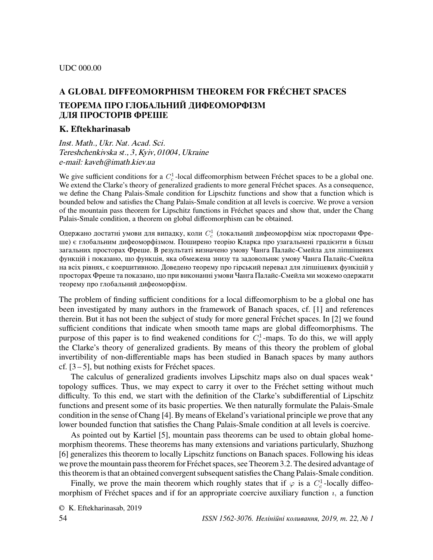## UDC 000.00

# A GLOBAL DIFFEOMORPHISM THEOREM FOR FRÉCHET SPACES ТЕОРЕМА ПРО ГЛОБАЛЬНИЙ ДИФЕОМОРФIЗМ ДЛЯ ПРОСТОРIВ ФРЕШЕ

## K. Eftekharinasab

Inst. Math., Ukr. Nat. Acad. Sci. Tereshchenkivska st., 3, Kyiv, 01004, Ukraine e-mail: kaveh@imath.kiev.ua

We give sufficient conditions for a  $C_c^1$ -local diffeomorphism between Fréchet spaces to be a global one. We extend the Clarke's theory of generalized gradients to more general Fréchet spaces. As a consequence, we define the Chang Palais-Smale condition for Lipschitz functions and show that a function which is bounded below and satisfies the Chang Palais-Smale condition at all levels is coercive. We prove a version of the mountain pass theorem for Lipschitz functions in Frechet spaces and show that, under the Chang ´ Palais-Smale condition, a theorem on global diffeomorphism can be obtained.

Одержано достатні умови для випадку, коли  $C_c^1$  (локальний дифеоморфізм між просторами Фреше) є глобальним дифеоморфiзмом. Поширено теорiю Кларка про узагальненi градiєнти в бiльш загальних просторах Фреше. В результатi визначено умову Чанга Палайс-Смейла для лiпшiцевих функцiй i показано, що функцiя, яка обмежена знизу та задовольняє умову Чанга Палайс-Смейла на всiх рiвнях, є коерцитивною. Доведено теорему про гiрський перевал для лiпшiцевих функiцiй у просторах Фреше та показано, що при виконаннi умови Чанга Палайс-Смейла ми можемо одержати теорему про глобальний дифеоморфiзм.

The problem of finding sufficient conditions for a local diffeomorphism to be a global one has been investigated by many authors in the framework of Banach spaces, cf. [1] and references therein. But it has not been the subject of study for more general Fréchet spaces. In [2] we found sufficient conditions that indicate when smooth tame maps are global diffeomorphisms. The purpose of this paper is to find weakened conditions for  $C_c^1$ -maps. To do this, we will apply the Clarke's theory of generalized gradients. By means of this theory the problem of global invertibility of non-differentiable maps has been studied in Banach spaces by many authors cf.  $[3-5]$ , but nothing exists for Fréchet spaces.

The calculus of generalized gradients involves Lipschitz maps also on dual spaces weak<sup>∗</sup> topology suffices. Thus, we may expect to carry it over to the Fréchet setting without much difficulty. To this end, we start with the definition of the Clarke's subdifferential of Lipschitz functions and present some of its basic properties. We then naturally formulate the Palais-Smale condition in the sense of Chang [4]. By means of Ekeland's variational principle we prove that any lower bounded function that satisfies the Chang Palais-Smale condition at all levels is coercive.

As pointed out by Kartiel [5], mountain pass theorems can be used to obtain global homemorphism theorems. These theorems has many extensions and variations particularly, Shuzhong [6] generalizes this theorem to locally Lipschitz functions on Banach spaces. Following his ideas we prove the mountain pass theorem for Fréchet spaces, see Theorem 3.2. The desired advantage of this theorem is that an obtained convergent subsequent satisfies the Chang Palais-Smale condition.

Finally, we prove the main theorem which roughly states that if  $\varphi$  is a  $C_c^1$ -locally diffeomorphism of Fréchet spaces and if for an appropriate coercive auxiliary function  $i$ , a function

© K. Eftekharinasab, 2019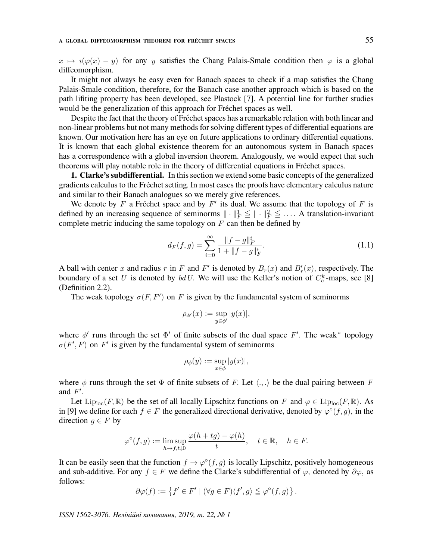$x \mapsto i(\varphi(x) - y)$  for any y satisfies the Chang Palais-Smale condition then  $\varphi$  is a global diffeomorphism.

It might not always be easy even for Banach spaces to check if a map satisfies the Chang Palais-Smale condition, therefore, for the Banach case another approach which is based on the path lifiting property has been developed, see Plastock [7]. A potential line for further studies would be the generalization of this approach for Fréchet spaces as well.

Despite the fact that the theory of Fréchet spaces has a remarkable relation with both linear and non-linear problems but not many methods for solving different types of differential equations are known. Our motivation here has an eye on future applications to ordinary differential equations. It is known that each global existence theorem for an autonomous system in Banach spaces has a correspondence with a global inversion theorem. Analogously, we would expect that such theorems will play notable role in the theory of differential equations in Frechet spaces. ´

1. Clarke's subdifferential. In this section we extend some basic concepts of the generalized gradients calculus to the Frechet setting. In most cases the proofs have elementary calculus nature ´ and similar to their Banach analogues so we merely give references.

We denote by  $F$  a Fréchet space and by  $F'$  its dual. We assume that the topology of  $F$  is defined by an increasing sequence of seminorms  $\|\cdot\|_F^1 \leqq \|\cdot\|_F^2 \leqq \ldots$ . A translation-invariant complete metric inducing the same topology on  $F$  can then be defined by

$$
d_F(f,g) = \sum_{i=0}^{\infty} \frac{\|f-g\|_F^i}{1 + \|f-g\|_F^i}.
$$
\n(1.1)

A ball with center x and radius r in F and F' is denoted by  $B_r(x)$  and  $B'_r(x)$ , respectively. The boundary of a set U is denoted by  $bdU$ . We will use the Keller's notion of  $C_c^k$ -maps, see [8] (Definition 2.2).

The weak topology  $\sigma(F, F')$  on F is given by the fundamental system of seminorms

$$
\rho_{\phi'}(x) := \sup_{y \in \phi'} |y(x)|,
$$

where  $\phi'$  runs through the set  $\Phi'$  of finite subsets of the dual space F'. The weak\* topology  $\sigma(F', F)$  on F' is given by the fundamental system of seminorms

$$
\rho_{\phi}(y) := \sup_{x \in \phi} |y(x)|,
$$

where  $\phi$  runs through the set  $\Phi$  of finite subsets of F. Let  $\langle ., . \rangle$  be the dual pairing between F and  $F'$ .

Let  $\text{Lip}_{\text{loc}}(F,\mathbb{R})$  be the set of all locally Lipschitz functions on F and  $\varphi \in \text{Lip}_{\text{loc}}(F,\mathbb{R})$ . As in [9] we define for each  $f \in F$  the generalized directional derivative, denoted by  $\varphi^{\circ}(f,g)$ , in the direction  $g \in F$  by

$$
\varphi^{\circ}(f,g) := \limsup_{h \to f, t \downarrow 0} \frac{\varphi(h + tg) - \varphi(h)}{t}, \quad t \in \mathbb{R}, \quad h \in F.
$$

It can be easily seen that the function  $f \to \varphi^{\circ}(f,g)$  is locally Lipschitz, positively homogeneous and sub-additive. For any  $f \in F$  we define the Clarke's subdifferential of  $\varphi$ , denoted by  $\partial \varphi$ , as follows:

$$
\partial \varphi(f) := \left\{ f' \in F' \mid (\forall g \in F) \langle f', g \rangle \leqq \varphi^{\circ}(f, g) \right\}.
$$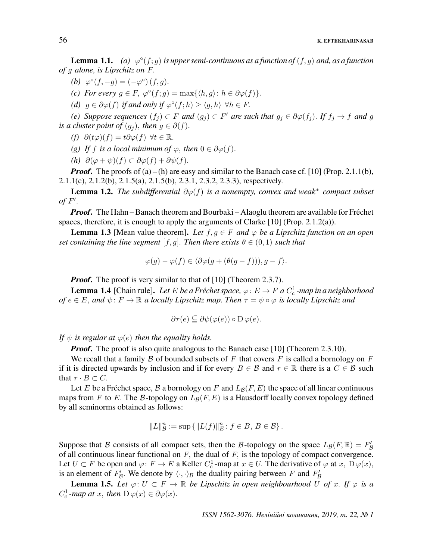**Lemma 1.1.** (a)  $\varphi^{\circ}(f;g)$  is upper semi-continuous as a function of  $(f,g)$  and, as a function of g alone, is Lipschitz on F.

- (b)  $\varphi^{\circ}(f, -g) = (-\varphi^{\circ})(f, g).$
- (c) For every  $g \in F$ ,  $\varphi^{\circ}(f; g) = \max\{\langle h, g \rangle : h \in \partial \varphi(f)\}.$
- (d)  $g \in \partial \varphi(f)$  if and only if  $\varphi^{\circ}(f;h) \ge \langle g, h \rangle \ \forall h \in F$ .

(e) Suppose sequences  $(f_j) \subset F$  and  $(g_j) \subset F'$  are such that  $g_j \in \partial \varphi(f_j)$ . If  $f_j \to f$  and g is a cluster point of  $(g_i)$ , then  $g \in \partial(f)$ .

- (f)  $\partial(t\varphi)(f) = t\partial\varphi(f)$   $\forall t \in \mathbb{R}$ .
- (g) If f is a local minimum of  $\varphi$ , then  $0 \in \partial \varphi(f)$ .
- (h)  $\partial(\varphi + \psi)(f) \subset \partial \varphi(f) + \partial \psi(f)$ .

**Proof.** The proofs of  $(a) - (h)$  are easy and similar to the Banach case cf. [10] (Prop. 2.1.1(b), 2.1.1(c), 2.1.2(b), 2.1.5(a), 2.1.5(b), 2.3.1, 2.3.2, 2.3.3), respectively.

**Lemma 1.2.** The subdifferential  $\partial \varphi(f)$  is a nonempty, convex and weak<sup>\*</sup> compact subset of  $F'$ .

*Proof.* The Hahn – Banach theorem and Bourbaki – Alaoglu theorem are available for Fréchet spaces, therefore, it is enough to apply the arguments of Clarke [10] (Prop. 2.1.2(a)).

**Lemma 1.3** [Mean value theorem]. Let  $f, g \in F$  and  $\varphi$  be a Lipschitz function on an open set containing the line segment  $[f, g]$ . Then there exists  $\theta \in (0, 1)$  such that

$$
\varphi(g) - \varphi(f) \in \langle \partial \varphi(g + (\theta(g - f))), g - f \rangle.
$$

*Proof.* The proof is very similar to that of [10] (Theorem 2.3.7).

**Lemma 1.4** [Chain rule]. Let E be a Fréchet space,  $\varphi: E \to F$  a  $C_c^1$ -map in a neighborhood of  $e \in E$ , and  $\psi \colon F \to \mathbb{R}$  a locally Lipschitz map. Then  $\tau = \psi \circ \varphi$  is locally Lipschitz and

$$
\partial \tau(e) \subseteq \partial \psi(\varphi(e)) \circ D \varphi(e).
$$

If  $\psi$  is regular at  $\varphi(e)$  then the equality holds.

**Proof.** The proof is also quite analogous to the Banach case [10] (Theorem 2.3.10).

We recall that a family B of bounded subsets of F that covers F is called a bornology on F if it is directed upwards by inclusion and if for every  $B \in \mathcal{B}$  and  $r \in \mathbb{R}$  there is a  $C \in \mathcal{B}$  such that  $r \cdot B \subset C$ .

Let E be a Fréchet space, B a bornology on F and  $L_{\mathcal{B}}(F, E)$  the space of all linear continuous maps from F to E. The B-topology on  $L_B(F, E)$  is a Hausdorff locally convex topology defined by all seminorms obtained as follows:

$$
||L||_B^n := \sup \{ ||L(f)||_E^n : f \in B, B \in \mathcal{B} \}.
$$

Suppose that B consists of all compact sets, then the B-topology on the space  $L_{\mathcal{B}}(F,\mathbb{R}) = F'_{\mathcal{B}}$ of all continuous linear functional on  $F$ , the dual of  $F$ , is the topology of compact convergence. Let  $U \subset F$  be open and  $\varphi: F \to E$  a Keller  $C_c^1$ -map at  $x \in U$ . The derivative of  $\varphi$  at  $x, D\varphi(x)$ , is an element of  $F'_{\mathcal{B}}$ . We denote by  $\langle \cdot, \cdot \rangle_{\mathcal{B}}$  the duality pairing between F and  $F'_{\mathcal{B}}$ 

**Lemma 1.5.** Let  $\varphi: U \subset F \to \mathbb{R}$  be Lipschitz in open neighbourhood U of x. If  $\varphi$  is a  $C_c^1$ -map at x, then  $D\varphi(x) \in \partial \varphi(x)$ .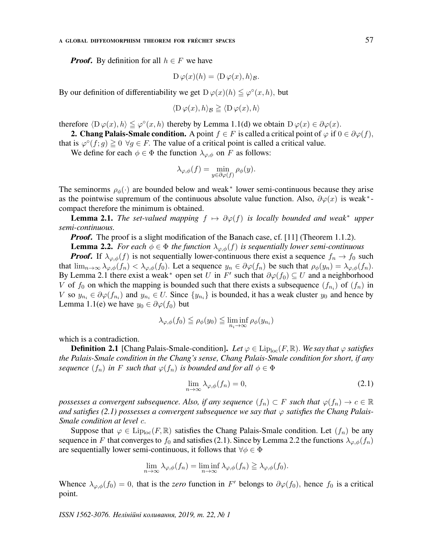#### A GLOBAL DIFFEOMORPHISM THEOREM FOR FRÉCHET SPACES  $57$

*Proof.* By definition for all  $h \in F$  we have

$$
\mathcal{D}\,\varphi(x)(h) = \langle \mathcal{D}\,\varphi(x), h \rangle_{\mathcal{B}}.
$$

By our definition of differentiability we get  $D\varphi(x)(h) \leq \varphi^{\circ}(x, h)$ , but

$$
\langle D\,\varphi(x),h\rangle_{\mathcal{B}}\geq \langle D\,\varphi(x),h\rangle
$$

therefore  $\langle D\varphi(x), h \rangle \leq \varphi^{\circ}(x, h)$  thereby by Lemma 1.1(d) we obtain  $D\varphi(x) \in \partial \varphi(x)$ .

**2. Chang Palais-Smale condition.** A point  $f \in F$  is called a critical point of  $\varphi$  if  $0 \in \partial \varphi(f)$ ,

that is  $\varphi^{\circ}(f; g) \ge 0 \ \forall g \in F$ . The value of a critical point is called a critical value.

We define for each  $\phi \in \Phi$  the function  $\lambda_{\varphi,\phi}$  on F as follows:

$$
\lambda_{\varphi,\phi}(f) = \min_{y \in \partial \varphi(f)} \rho_{\phi}(y).
$$

The seminorms  $\rho_{\phi}(\cdot)$  are bounded below and weak<sup>\*</sup> lower semi-continuous because they arise as the pointwise supremum of the continuous absolute value function. Also,  $\partial \varphi(x)$  is weak<sup>\*</sup>compact therefore the minimum is obtained.

**Lemma 2.1.** The set-valued mapping  $f \mapsto \partial \varphi(f)$  is locally bounded and weak<sup>\*</sup> upper semi-continuous.

*Proof.* The proof is a slight modification of the Banach case, cf. [11] (Theorem 1.1.2).

**Lemma 2.2.** For each  $\phi \in \Phi$  the function  $\lambda_{\varphi,\phi}(f)$  is sequentially lower semi-continuous

**Proof.** If  $\lambda_{\varphi,\phi}(f)$  is not sequentially lower-continuous there exist a sequence  $f_n \to f_0$  such that  $\lim_{n\to\infty}\lambda_{\varphi,\phi}(f_n)<\lambda_{\varphi,\phi}(f_0)$ . Let a sequence  $y_n\in\partial\varphi(f_n)$  be such that  $\rho_\phi(y_n)=\lambda_{\varphi,\phi}(f_n)$ . By Lemma 2.1 there exist a weak<sup>\*</sup> open set U in F' such that  $\partial \varphi(f_0) \subseteq U$  and a neighborhood V of  $f_0$  on which the mapping is bounded such that there exists a subsequence  $(f_{n_i})$  of  $(f_n)$  in V so  $y_{n_i} \in \partial \varphi(f_{n_i})$  and  $y_{n_i} \in U$ . Since  $\{y_{n_i}\}\$ is bounded, it has a weak cluster  $y_0$  and hence by Lemma 1.1(e) we have  $y_0 \in \partial \varphi(f_0)$  but

$$
\lambda_{\varphi,\phi}(f_0) \leqq \rho_{\phi}(y_0) \leqq \liminf_{n_i \to \infty} \rho_{\phi}(y_{n_i})
$$

which is a contradiction.

**Definition 2.1** [Chang Palais-Smale-condition]. Let  $\varphi \in \text{Lip}_{loc}(F, \mathbb{R})$ . We say that  $\varphi$  satisfies the Palais-Smale condition in the Chang's sense, Chang Palais-Smale condition for short, if any sequence  $(f_n)$  in F such that  $\varphi(f_n)$  is bounded and for all  $\phi \in \Phi$ 

$$
\lim_{n \to \infty} \lambda_{\varphi,\phi}(f_n) = 0,\tag{2.1}
$$

possesses a convergent subsequence. Also, if any sequence  $(f_n) \subset F$  such that  $\varphi(f_n) \to c \in \mathbb{R}$ and satisfies (2.1) possesses a convergent subsequence we say that  $\varphi$  satisfies the Chang Palais-Smale condition at level c.

Suppose that  $\varphi \in \text{Lip}_{loc}(F,\mathbb{R})$  satisfies the Chang Palais-Smale condition. Let  $(f_n)$  be any sequence in F that converges to  $f_0$  and satisfies (2.1). Since by Lemma 2.2 the functions  $\lambda_{\varphi,\phi}(f_n)$ are sequentially lower semi-continuous, it follows that  $\forall \phi \in \Phi$ 

$$
\lim_{n \to \infty} \lambda_{\varphi,\phi}(f_n) = \liminf_{n \to \infty} \lambda_{\varphi,\phi}(f_n) \geqq \lambda_{\varphi,\phi}(f_0).
$$

Whence  $\lambda_{\varphi,\phi}(f_0) = 0$ , that is the zero function in F' belongs to  $\partial \varphi(f_0)$ , hence  $f_0$  is a critical point.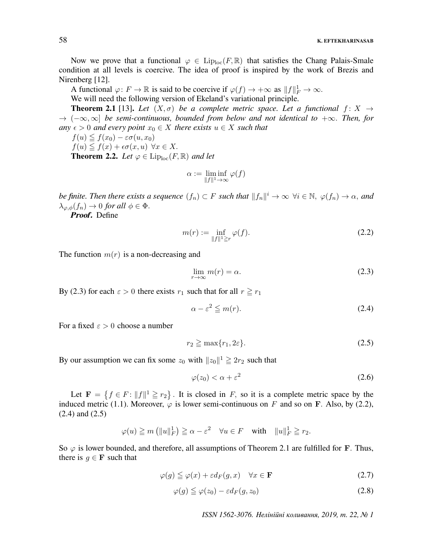Now we prove that a functional  $\varphi \in \text{Lip}_{\text{loc}}(F, \mathbb{R})$  that satisfies the Chang Palais-Smale condition at all levels is coercive. The idea of proof is inspired by the work of Brezis and Nirenberg [12].

A functional  $\varphi: F \to \mathbb{R}$  is said to be coercive if  $\varphi(f) \to +\infty$  as  $||f||_F^1 \to \infty$ .

We will need the following version of Ekeland's variational principle.

**Theorem 2.1** [13]. Let  $(X, \sigma)$  be a complete metric space. Let a functional  $f: X \rightarrow$  $\rightarrow$   $(-\infty, \infty]$  be semi-continuous, bounded from below and not identical to  $+\infty$ . Then, for any  $\epsilon > 0$  and every point  $x_0 \in X$  there exists  $u \in X$  such that

$$
f(u) \leqq f(x_0) - \varepsilon \sigma(u, x_0)
$$

 $f(u) \leq f(x) + \epsilon \sigma(x, u) \ \forall x \in X.$ 

**Theorem 2.2.** Let  $\varphi \in \text{Lip}_{loc}(F,\mathbb{R})$  and let

$$
\alpha := \liminf_{\|f\|^1 \to \infty} \varphi(f)
$$

be finite. Then there exists a sequence  $(f_n) \subset F$  such that  $||f_n||^i \to \infty$   $\forall i \in \mathbb{N}, \ \varphi(f_n) \to \alpha$ , and  $\lambda_{\varphi,\phi}(f_n) \to 0$  for all  $\phi \in \Phi$ .

Proof. Define

$$
m(r) := \inf_{\|f\|^1 \ge r} \varphi(f). \tag{2.2}
$$

The function  $m(r)$  is a non-decreasing and

$$
\lim_{r \to \infty} m(r) = \alpha. \tag{2.3}
$$

By (2.3) for each  $\varepsilon > 0$  there exists  $r_1$  such that for all  $r \ge r_1$ 

$$
\alpha - \varepsilon^2 \leqq m(r). \tag{2.4}
$$

For a fixed  $\varepsilon > 0$  choose a number

$$
r_2 \geqq \max\{r_1, 2\varepsilon\}.\tag{2.5}
$$

By our assumption we can fix some  $z_0$  with  $||z_0||^1 \ge 2r_2$  such that

$$
\varphi(z_0) < \alpha + \varepsilon^2 \tag{2.6}
$$

Let  $F = \{f \in F : ||f||^1 \ge r_2\}$ . It is closed in F, so it is a complete metric space by the induced metric (1.1). Moreover,  $\varphi$  is lower semi-continuous on F and so on F. Also, by (2.2), (2.4) and (2.5)

$$
\varphi(u) \geqq m \left( \|u\|_F^1 \right) \geqq \alpha - \varepsilon^2 \quad \forall u \in F \quad \text{with} \quad \|u\|_F^1 \geqq r_2.
$$

So  $\varphi$  is lower bounded, and therefore, all assumptions of Theorem 2.1 are fulfilled for **F**. Thus, there is  $g \in \mathbf{F}$  such that

$$
\varphi(g) \leqq \varphi(x) + \varepsilon d_F(g, x) \quad \forall x \in \mathbf{F} \tag{2.7}
$$

$$
\varphi(g) \leqq \varphi(z_0) - \varepsilon d_F(g, z_0) \tag{2.8}
$$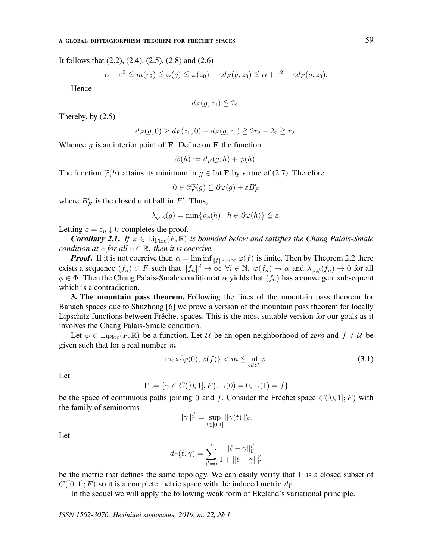It follows that  $(2.2)$ ,  $(2.4)$ ,  $(2.5)$ ,  $(2.8)$  and  $(2.6)$ 

$$
\alpha - \varepsilon^2 \leqq m(r_2) \leqq \varphi(g) \leqq \varphi(z_0) - \varepsilon d_F(g, z_0) \leqq \alpha + \varepsilon^2 - \varepsilon d_F(g, z_0).
$$

Hence

$$
d_F(g, z_0) \leqq 2\varepsilon.
$$

Thereby, by (2.5)

$$
d_F(g,0) \ge d_F(z_0,0) - d_F(g,z_0) \ge 2r_2 - 2\varepsilon \ge r_2.
$$

Whence  $g$  is an interior point of F. Define on F the function

$$
\widetilde{\varphi}(h) := d_F(g, h) + \varphi(h).
$$

The function  $\tilde{\varphi}(h)$  attains its minimum in  $q \in \text{Int } \mathbf{F}$  by virtue of (2.7). Therefore

$$
0\in\partial\widetilde{\varphi}(g)\subseteq\partial\varphi(g)+\varepsilon B'_F
$$

where  $B'_F$  is the closed unit ball in  $F'$ . Thus,

$$
\lambda_{\varphi,\phi}(g) = \min \{ \rho_{\phi}(h) \mid h \in \partial \varphi(h) \} \leqq \varepsilon.
$$

Letting  $\varepsilon = \varepsilon_n \downarrow 0$  completes the proof.

**Corollary 2.1.** If  $\varphi \in \text{Lip}_{loc}(F,\mathbb{R})$  is bounded below and satisfies the Chang Palais-Smale condition at c for all  $c \in \mathbb{R}$ , then it is coercive.

**Proof.** If it is not coercive then  $\alpha = \liminf_{\|f\|^1 \to \infty} \varphi(f)$  is finite. Then by Theorem 2.2 there exists a sequence  $(f_n) \subset F$  such that  $||f_n||^i \to \infty$   $\forall i \in \mathbb{N}$ ,  $\varphi(f_n) \to \alpha$  and  $\lambda_{\varphi,\phi}(f_n) \to 0$  for all  $\phi \in \Phi$ . Then the Chang Palais-Smale condition at  $\alpha$  yields that  $(f_n)$  has a convergent subsequent which is a contradiction.

3. The mountain pass theorem. Following the lines of the mountain pass theorem for Banach spaces due to Shuzhong [6] we prove a version of the mountain pass theorem for locally Lipschitz functions between Fréchet spaces. This is the most suitable version for our goals as it involves the Chang Palais-Smale condition.

Let  $\varphi \in \text{Lip}_{\text{loc}}(F, \mathbb{R})$  be a function. Let U be an open neighborhood of zero and  $f \notin \overline{U}$  be given such that for a real number  $m$ 

$$
\max{\{\varphi(0), \varphi(f)\}} < m \leq \inf_{bd\mathcal{U}} \varphi.
$$
\n(3.1)

Let

$$
\Gamma := \{ \gamma \in C([0,1]; F) \colon \gamma(0) = 0, \ \gamma(1) = f \}
$$

be the space of continuous paths joining 0 and f. Consider the Fréchet space  $C([0, 1]; F)$  with the family of seminorms

$$
\|\gamma\|_{\Gamma}^{i'} = \sup_{t \in [0,1]} \|\gamma(t)\|_{F}^{i}.
$$

Let

$$
d_{\Gamma}(\ell,\gamma)=\sum_{i'=0}^{\infty}\frac{ \Vert \ell-\gamma\Vert_{\Gamma}^{i'}}{1+\Vert \ell-\gamma\Vert_{\Gamma}^{i'}}
$$

be the metric that defines the same topology. We can easily verify that  $\Gamma$  is a closed subset of  $C([0, 1]; F)$  so it is a complete metric space with the induced metric  $d_{\Gamma}$ .

In the sequel we will apply the following weak form of Ekeland's variational principle.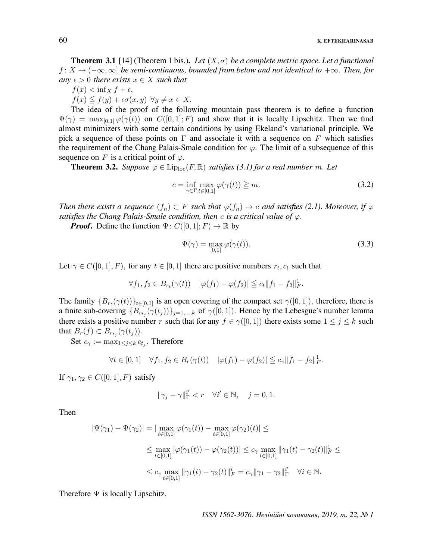## 60 K. EFTEKHARINASAB

**Theorem 3.1** [14] (Theorem 1 bis.). Let  $(X, \sigma)$  be a complete metric space. Let a functional  $f: X \to (-\infty, \infty]$  be semi-continuous, bounded from below and not identical to  $+\infty$ . Then, for any  $\epsilon > 0$  there exists  $x \in X$  such that

$$
f(x) < \inf_X f + \epsilon,
$$

 $f(x) \leq f(y) + \epsilon \sigma(x, y) \ \forall y \neq x \in X.$ 

The idea of the proof of the following mountain pass theorem is to define a function  $\Psi(\gamma) = \max_{[0,1]} \varphi(\gamma(t))$  on  $C([0,1]; F)$  and show that it is locally Lipschitz. Then we find almost minimizers with some certain conditions by using Ekeland's variational principle. We pick a sequence of these points on  $\Gamma$  and associate it with a sequence on F which satisfies the requirement of the Chang Palais-Smale condition for  $\varphi$ . The limit of a subsequence of this sequence on F is a critical point of  $\varphi$ .

**Theorem 3.2.** Suppose  $\varphi \in \text{Lip}_{loc}(F, \mathbb{R})$  satisfies (3.1) for a real number m. Let

$$
c = \inf_{\gamma \in \Gamma} \max_{t \in [0,1]} \varphi(\gamma(t)) \geq m. \tag{3.2}
$$

Then there exists a sequence  $(f_n) \subset F$  such that  $\varphi(f_n) \to c$  and satisfies (2.1). Moreover, if  $\varphi$ satisfies the Chang Palais-Smale condition, then c is a critical value of  $\varphi$ .

*Proof.* Define the function  $\Psi: C([0, 1]; F) \to \mathbb{R}$  by

$$
\Psi(\gamma) = \max_{[0,1]} \varphi(\gamma(t)).
$$
\n(3.3)

Let  $\gamma \in C([0,1], F)$ , for any  $t \in [0,1]$  there are positive numbers  $r_t, c_t$  such that

$$
\forall f_1, f_2 \in B_{r_t}(\gamma(t)) \quad |\varphi(f_1) - \varphi(f_2)| \leqq c_t \|f_1 - f_2\|_F^1.
$$

The family  $\{B_{r_t}(\gamma(t))\}_{t\in[0,1]}$  is an open covering of the compact set  $\gamma([0,1])$ , therefore, there is a finite sub-covering  $\{B_{r_{t_j}}(\gamma(t_j))\}_{j=1,\dots,k}$  of  $\gamma([0,1])$ . Hence by the Lebesgue's number lemma there exists a positive number r such that for any  $f \in \gamma([0,1])$  there exists some  $1 \le j \le k$  such that  $B_r(f) \subset B_{r_{t_j}}(\gamma(t_j)).$ 

Set  $c_{\gamma} := \max_{1 \leq j \leq k} c_{t_j}$ . Therefore

$$
\forall t \in [0,1] \quad \forall f_1, f_2 \in B_r(\gamma(t)) \quad |\varphi(f_1) - \varphi(f_2)| \leqq c_\gamma \|f_1 - f_2\|_F^1.
$$

If  $\gamma_1, \gamma_2 \in C([0,1], F)$  satisfy

$$
\|\gamma_j-\gamma\|_{\Gamma}^{i'}
$$

Then

$$
|\Psi(\gamma_1) - \Psi(\gamma_2)| = |\max_{t \in [0,1]} \varphi(\gamma_1(t)) - \max_{t \in [0,1]} \varphi(\gamma_2)(t)| \le
$$
  

$$
\le \max_{t \in [0,1]} |\varphi(\gamma_1(t)) - \varphi(\gamma_2(t))| \le c_\gamma \max_{t \in [0,1]} ||\gamma_1(t) - \gamma_2(t)||_F^1 \le
$$
  

$$
\le c_\gamma \max_{t \in [0,1]} ||\gamma_1(t) - \gamma_2(t)||_F^i = c_\gamma ||\gamma_1 - \gamma_2||_F^{i'} \quad \forall i \in \mathbb{N}.
$$

Therefore  $\Psi$  is locally Lipschitz.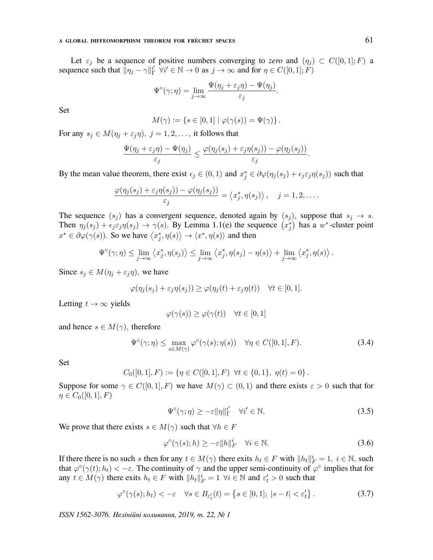#### A GLOBAL DIFFEOMORPHISM THEOREM FOR FRÉCHET SPACES  $61$

Let  $\varepsilon_j$  be a sequence of positive numbers converging to zero and  $(\eta_j) \subset C([0,1];F)$  a sequence such that  $\|\eta_j - \gamma\|_{\Gamma}^{i'}$  $\Gamma_{\Gamma}^{i'} \forall i' \in \mathbb{N} \to 0$  as  $j \to \infty$  and for  $\eta \in C([0,1]; F)$ 

$$
\Psi^{\circ}(\gamma;\eta) = \lim_{j \to \infty} \frac{\Psi(\eta_j + \varepsilon_j \eta) - \Psi(\eta_j)}{\varepsilon_j}.
$$

Set

$$
M(\gamma) := \{ s \in [0,1] \mid \varphi(\gamma(s)) = \Psi(\gamma) \}.
$$

For any  $s_j \in M(\eta_j + \varepsilon_j \eta)$ ,  $j = 1, 2, \dots$ , it follows that

$$
\frac{\Psi(\eta_j+\varepsilon_j\eta)-\Psi(\eta_j)}{\varepsilon_j}\leq \frac{\varphi(\eta_j(s_j)+\varepsilon_j\eta(s_j))-\varphi(\eta_j(s_j))}{\varepsilon_j}.
$$

By the mean value theorem, there exist  $\epsilon_j \in (0, 1)$  and  $x_j^* \in \partial \varphi(\eta_j(s_j) + \epsilon_j \epsilon_j \eta(s_j))$  such that

$$
\frac{\varphi(\eta_j(s_j) + \varepsilon_j \eta(s_j)) - \varphi(\eta_j(s_j))}{\varepsilon_j} = \langle x_j^*, \eta(s_j) \rangle, \quad j = 1, 2, \dots
$$

The sequence  $(s_i)$  has a convergent sequence, denoted again by  $(s_j)$ , suppose that  $s_j \rightarrow s$ . Then  $\eta_j(s_j) + \epsilon_j \epsilon_j \eta(s_j) \to \gamma(s)$ . By Lemma 1.1(e) the sequence  $(x_j^*)$  has a w<sup>\*</sup>-cluster point  $x^* \in \partial \varphi(\gamma(s))$ . So we have  $\langle x_j^*, \eta(s) \rangle \to \langle x^*, \eta(s) \rangle$  and then

$$
\Psi^{\circ}(\gamma;\eta) \leq \lim_{j \to \infty} \left\langle x_j^*, \eta(s_j) \right\rangle \leq \lim_{j \to \infty} \left\langle x_j^*, \eta(s_j) - \eta(s) \right\rangle + \lim_{j \to \infty} \left\langle x_j^*, \eta(s) \right\rangle.
$$

Since  $s_j \in M(\eta_j + \varepsilon_j \eta)$ , we have

$$
\varphi(\eta_j(s_j) + \varepsilon_j \eta(s_j)) \ge \varphi(\eta_j(t) + \varepsilon_j \eta(t)) \quad \forall t \in [0, 1].
$$

Letting  $t \to \infty$  yields

$$
\varphi(\gamma(s)) \ge \varphi(\gamma(t)) \quad \forall t \in [0,1]
$$

and hence  $s \in M(\gamma)$ , therefore

$$
\Psi^{\circ}(\gamma;\eta) \leq \max_{s \in M(\gamma)} \varphi^{\circ}(\gamma(s); \eta(s)) \quad \forall \eta \in C([0,1], F). \tag{3.4}
$$

Set

$$
C_0([0,1], F) := \{ \eta \in C([0,1], F) \ \forall t \in \{0,1\}, \ \eta(t) = 0 \}.
$$

Suppose for some  $\gamma \in C([0,1], F)$  we have  $M(\gamma) \subset (0,1)$  and there exists  $\varepsilon > 0$  such that for  $\eta \in C_0([0,1], F)$ 

$$
\Psi^{\circ}(\gamma;\eta) \ge -\varepsilon \|\eta\|_{\Gamma}^{i'} \quad \forall i' \in \mathbb{N}.\tag{3.5}
$$

We prove that there exists  $s \in M(\gamma)$  such that  $\forall h \in F$ 

$$
\varphi^{\circ}(\gamma(s);h) \ge -\varepsilon \|h\|_F^i \quad \forall i \in \mathbb{N}.\tag{3.6}
$$

If there there is no such s then for any  $t \in M(\gamma)$  there exits  $h_t \in F$  with  $||h_t||_F^i = 1$ ,  $i \in \mathbb{N}$ , such that  $\varphi^{\circ}(\gamma(t); h_t) < -\varepsilon$ . The continuity of  $\gamma$  and the upper semi-continuity of  $\varphi^{\circ}$  implies that for any  $t \in M(\gamma)$  there exits  $h_t \in F$  with  $||h_t||_F^i = 1 \ \forall i \in \mathbb{N}$  and  $\varepsilon_t' > 0$  such that

$$
\varphi^{\circ}(\gamma(s); h_t) < -\varepsilon \quad \forall s \in B_{\varepsilon'_t}(t) = \left\{ s \in [0, 1]; \ |s - t| < \varepsilon'_t \right\}. \tag{3.7}
$$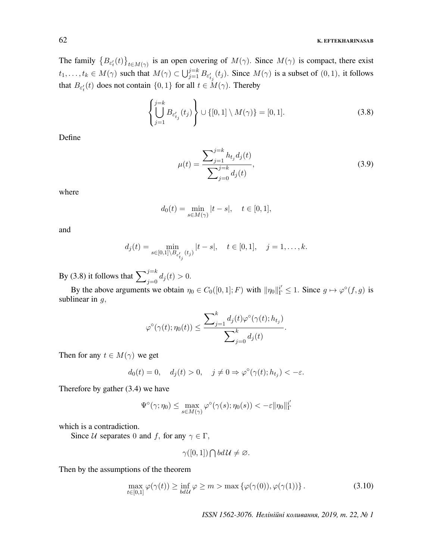## 62 K. EFTEKHARINASAB

The family  $\{B_{\varepsilon'_t}(t)\}_{t \in M(\gamma)}$  is an open covering of  $M(\gamma)$ . Since  $M(\gamma)$  is compact, there exist  $t_1, \ldots, t_k \in M(\gamma)$  such that  $M(\gamma) \subset \bigcup_{j=1}^{j=k} B_{\varepsilon'_{t_j}}(t_j)$ . Since  $M(\gamma)$  is a subset of  $(0, 1)$ , it follows that  $B_{\varepsilon'_t}(t)$  does not contain  $\{0, 1\}$  for all  $t \in M(\gamma)$ . Thereby

$$
\left\{\bigcup_{j=1}^{j=k} B_{\varepsilon'_{t_j}}(t_j)\right\} \cup \{[0,1] \setminus M(\gamma)\} = [0,1].
$$
\n(3.8)

Define

$$
\mu(t) = \frac{\sum_{j=1}^{j=k} h_{t_j} d_j(t)}{\sum_{j=0}^{j=k} d_j(t)},
$$
\n(3.9)

where

$$
d_0(t) = \min_{s \in M(\gamma)} |t - s|, \quad t \in [0, 1],
$$

and

$$
d_j(t) = \min_{s \in [0,1] \setminus B_{\varepsilon'_{t_j}}(t_j)} |t - s|, \quad t \in [0,1], \quad j = 1, \dots, k.
$$

By (3.8) it follows that  $\sum_{j=0}^{j=k} d_j(t) > 0$ .

By the above arguments we obtain  $\eta_0 \in C_0([0,1];F)$  with  $\|\eta_0\|_{\Gamma}^{i'} \leq 1$ . Since  $g \mapsto \varphi^{\circ}(f,g)$  is sublinear in  $q$ ,

$$
\varphi^{\circ}(\gamma(t);\eta_0(t)) \leq \frac{\sum_{j=1}^k d_j(t)\varphi^{\circ}(\gamma(t);h_{t_j})}{\sum_{j=0}^k d_j(t)}.
$$

Then for any  $t \in M(\gamma)$  we get

$$
d_0(t) = 0
$$
,  $d_j(t) > 0$ ,  $j \neq 0 \Rightarrow \varphi^{\circ}(\gamma(t); h_{t_j}) < -\varepsilon$ .

Therefore by gather (3.4) we have

$$
\Psi^{\circ}(\gamma;\eta_0) \leq \max_{s \in M(\gamma)} \varphi^{\circ}(\gamma(s); \eta_0(s)) < -\varepsilon ||\eta_0||_{\Gamma}^{i'}
$$

which is a contradiction.

Since U separates 0 and f, for any  $\gamma \in \Gamma$ ,

$$
\gamma([0,1]) \bigcap bd\mathcal{U} \neq \varnothing.
$$

Then by the assumptions of the theorem

$$
\max_{t \in [0,1]} \varphi(\gamma(t)) \ge \inf_{b d \mathcal{U}} \varphi \ge m > \max \{ \varphi(\gamma(0)), \varphi(\gamma(1)) \}.
$$
\n(3.10)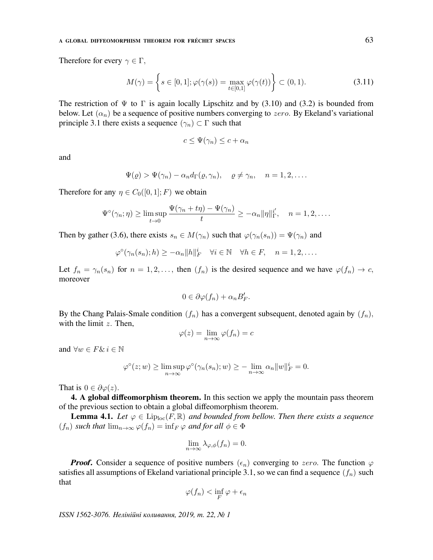#### A GLOBAL DIFFEOMORPHISM THEOREM FOR FRÉCHET SPACES  $63$

Therefore for every  $\gamma \in \Gamma$ ,

$$
M(\gamma) = \left\{ s \in [0,1]; \varphi(\gamma(s)) = \max_{t \in [0,1]} \varphi(\gamma(t)) \right\} \subset (0,1).
$$
 (3.11)

The restriction of  $\Psi$  to  $\Gamma$  is again locally Lipschitz and by (3.10) and (3.2) is bounded from below. Let  $(\alpha_n)$  be a sequence of positive numbers converging to zero. By Ekeland's variational principle 3.1 there exists a sequence  $(\gamma_n) \subset \Gamma$  such that

$$
c \leq \Psi(\gamma_n) \leq c + \alpha_n
$$

and

$$
\Psi(\varrho) > \Psi(\gamma_n) - \alpha_n d_{\Gamma}(\varrho, \gamma_n), \quad \varrho \neq \gamma_n, \quad n = 1, 2, \dots.
$$

Therefore for any  $\eta \in C_0([0,1];F)$  we obtain

$$
\Psi^{\circ}(\gamma_n;\eta) \ge \limsup_{t \to 0} \frac{\Psi(\gamma_n + t\eta) - \Psi(\gamma_n)}{t} \ge -\alpha_n \|\eta\|_{\Gamma}^{i'}, \quad n = 1, 2, \dots.
$$

Then by gather (3.6), there exists  $s_n \in M(\gamma_n)$  such that  $\varphi(\gamma_n(s_n)) = \Psi(\gamma_n)$  and

$$
\varphi^{\circ}(\gamma_n(s_n);h) \geq -\alpha_n \|h\|_F^i \quad \forall i \in \mathbb{N} \quad \forall h \in F, \quad n = 1, 2, \dots.
$$

Let  $f_n = \gamma_n(s_n)$  for  $n = 1, 2, \ldots$ , then  $(f_n)$  is the desired sequence and we have  $\varphi(f_n) \to c$ , moreover

$$
0 \in \partial \varphi(f_n) + \alpha_n B'_F.
$$

By the Chang Palais-Smale condition  $(f_n)$  has a convergent subsequent, denoted again by  $(f_n)$ , with the limit  $z$ . Then,

$$
\varphi(z) = \lim_{n \to \infty} \varphi(f_n) = c
$$

and  $\forall w \in F \& i \in \mathbb{N}$ 

$$
\varphi^{\circ}(z; w) \ge \limsup_{n \to \infty} \varphi^{\circ}(\gamma_n(s_n); w) \ge - \lim_{n \to \infty} \alpha_n ||w||_F^i = 0.
$$

That is  $0 \in \partial \varphi(z)$ .

4. A global diffeomorphism theorem. In this section we apply the mountain pass theorem of the previous section to obtain a global diffeomorphism theorem.

**Lemma 4.1.** Let  $\varphi \in \text{Lip}_{\text{loc}}(F,\mathbb{R})$  and bounded from bellow. Then there exists a sequence  $(f_n)$  such that  $\lim_{n\to\infty}\varphi(f_n)=\inf_F\varphi$  and for all  $\phi\in\Phi$ 

$$
\lim_{n \to \infty} \lambda_{\varphi,\phi}(f_n) = 0.
$$

**Proof.** Consider a sequence of positive numbers  $(\epsilon_n)$  converging to zero. The function  $\varphi$ satisfies all assumptions of Ekeland variational principle 3.1, so we can find a sequence  $(f_n)$  such that

$$
\varphi(f_n) < \inf_F \varphi + \epsilon_n
$$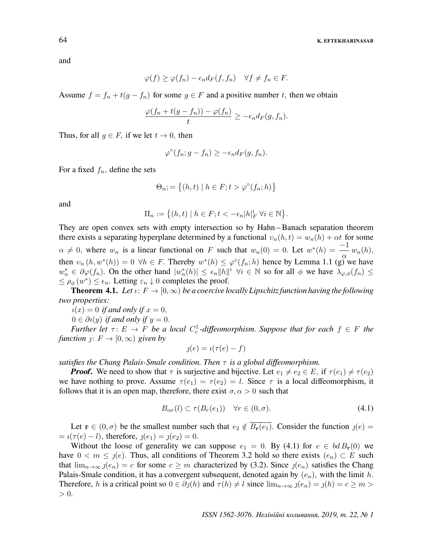and

$$
\varphi(f) \ge \varphi(f_n) - \epsilon_n d_F(f, f_n) \quad \forall f \ne f_n \in F.
$$

Assume  $f = f_n + t(g - f_n)$  for some  $g \in F$  and a positive number t, then we obtain

$$
\frac{\varphi(f_n+t(g-f_n))-\varphi(f_n)}{t}\geq -\epsilon_n d_F(g,f_n).
$$

Thus, for all  $g \in F$ , if we let  $t \to 0$ , then

$$
\varphi^{\circ}(f_n; g - f_n) \geq -\epsilon_n d_F(g, f_n).
$$

For a fixed  $f_n$ , define the sets

$$
\Theta_n; = \{(h, t) \mid h \in F; t > \varphi^{\circ}(f_n; h)\}
$$

and

$$
\Pi_n := \left\{ (h, t) \mid h \in F; t < -\epsilon_n |h|_F^i \ \forall i \in \mathbb{N} \right\}.
$$

They are open convex sets with empty intersection so by Hahn – Banach separation theorem there exists a separating hyperplane determined by a functional  $v_n(h, t) = w_n(h) + \alpha t$  for some  $\alpha \neq 0$ , where  $w_n$  is a linear functional on F such that  $w_n(0) = 0$ . Let  $w^*(h) = -\frac{1}{\alpha} w_n(h)$ , then  $v_n(h, w^*(h)) = 0 \ \forall h \in F$ . Thereby  $w^*(h) \leq \varphi^{\circ}(f_n; h)$  hence by Lemma 1.1 (g) we have  $w_n^* \in \partial \varphi(f_n)$ . On the other hand  $|w_n^*(h)| \leq \epsilon_n ||h||^i$   $\forall i \in \mathbb{N}$  so for all  $\phi$  we have  $\lambda_{\varphi,\phi}(f_n) \leq$  $\leq \rho_{\phi}(w^*) \leq \epsilon_n$ . Letting  $\epsilon_n \downarrow 0$  completes the proof.

**Theorem 4.1.** Let  $i: F \to [0, \infty)$  be a coercive locally Lipschitz function having the following two properties:

 $u(x) = 0$  if and only if  $x = 0$ ,

 $0 \in \partial i(y)$  if and only if  $y = 0$ .

Further let  $\tau: E \to F$  be a local  $C_c^1$ -diffeomorphism. Suppose that for each  $f \in F$  the function  $j: F \to [0, \infty)$  given by

$$
j(e) = i(\tau(e) - f)
$$

satisfies the Chang Palais-Smale condition. Then  $\tau$  is a global diffeomorphism.

**Proof.** We need to show that  $\tau$  is surjective and bijective. Let  $e_1 \neq e_2 \in E$ , if  $\tau(e_1) \neq \tau(e_2)$ we have nothing to prove. Assume  $\tau(e_1) = \tau(e_2) = l$ . Since  $\tau$  is a local diffeomorphism, it follows that it is an open map, therefore, there exist  $\sigma, \alpha > 0$  such that

$$
B_{\alpha r}(l) \subset \tau(B_r(e_1)) \quad \forall r \in (0, \sigma). \tag{4.1}
$$

Let  $\mathbf{r} \in (0, \sigma)$  be the smallest number such that  $e_2 \notin \overline{B_{\mathbf{r}}(e_1)}$ . Consider the function  $\jmath(e)$  =  $= i(\tau(e) - l)$ , therefore,  $j(e_1) = j(e_2) = 0$ .

Without the loose of generality we can suppose  $e_1 = 0$ . By (4.1) for  $e \in bd B_{r}(0)$  we have  $0 < m \leq j(e)$ . Thus, all conditions of Theorem 3.2 hold so there exists  $(e_n) \subset E$  such that  $\lim_{n\to\infty}$   $\jmath(e_n) = c$  for some  $c \geq m$  characterized by (3.2). Since  $\jmath(e_n)$  satisfies the Chang Palais-Smale condition, it has a convergent subsequent, denoted again by  $(e_n)$ , with the limit h. Therefore, h is a critical point so  $0 \in \partial \mathcal{J}(h)$  and  $\tau(h) \neq l$  since  $\lim_{n \to \infty} \mathcal{J}(e_n) = \mathcal{J}(h) = c \geq m >$  $> 0$ .